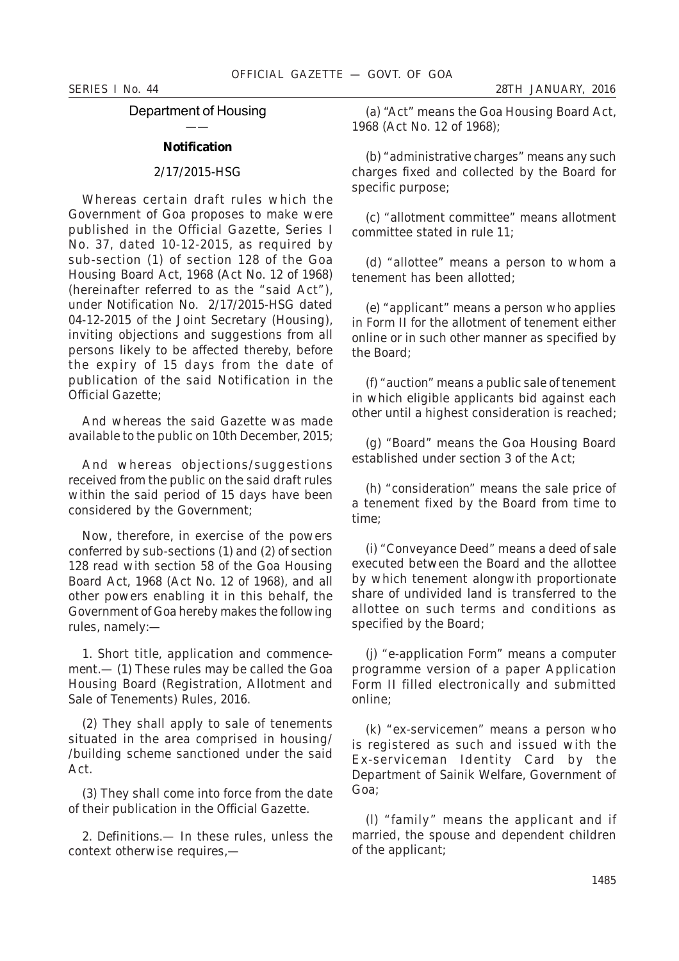Department of Housing ——

### **Notification**

# 2/17/2015-HSG

Whereas certain draft rules which the Government of Goa proposes to make were published in the Official Gazette, Series I No. 37, dated 10-12-2015, as required by sub-section (*1*) of section 128 of the Goa Housing Board Act, 1968 (Act No. 12 of 1968) (hereinafter referred to as the "said Act"), under Notification No. 2/17/2015-HSG dated 04-12-2015 of the Joint Secretary (Housing), inviting objections and suggestions from all persons likely to be affected thereby, before the expiry of 15 days from the date of publication of the said Notification in the Official Gazette;

And whereas the said Gazette was made available to the public on 10th December, 2015;

And whereas objections/suggestions received from the public on the said draft rules within the said period of 15 days have been considered by the Government;

Now, therefore, in exercise of the powers conferred by sub-sections (*1*) and (*2*) of section 128 read with section 58 of the Goa Housing Board Act, 1968 (Act No. 12 of 1968), and all other powers enabling it in this behalf, the Government of Goa hereby makes the following rules, namely:—

1. *Short title, application and commencement*.— (*1*) These rules may be called the Goa Housing Board (Registration, Allotment and Sale of Tenements) Rules, 2016.

(*2*) They shall apply to sale of tenements situated in the area comprised in housing/ /building scheme sanctioned under the said Act.

(*3*) They shall come into force from the date of their publication in the Official Gazette.

2. *Definitions*.— In these rules, unless the context otherwise requires,—

(*a*) "Act" means the Goa Housing Board Act, 1968 (Act No. 12 of 1968);

(*b*) "administrative charges" means any such charges fixed and collected by the Board for specific purpose;

(*c*) "allotment committee" means allotment committee stated in rule 11;

(*d*) "allottee" means a person to whom a tenement has been allotted;

(*e*) "applicant" means a person who applies in Form II for the allotment of tenement either online or in such other manner as specified by the Board;

(*f*) "auction" means a public sale of tenement in which eligible applicants bid against each other until a highest consideration is reached;

(*g*) "Board" means the Goa Housing Board established under section 3 of the Act;

(*h*) "consideration" means the sale price of a tenement fixed by the Board from time to time;

(*i*) "Conveyance Deed" means a deed of sale executed between the Board and the allottee by which tenement alongwith proportionate share of undivided land is transferred to the allottee on such terms and conditions as specified by the Board;

(*j*) "e-application Form" means a computer programme version of a paper Application Form II filled electronically and submitted online;

(*k*) "ex-servicemen" means a person who is registered as such and issued with the Ex-serviceman Identity Card by the Department of Sainik Welfare, Government of Goa;

(*l*) "family" means the applicant and if married, the spouse and dependent children of the applicant;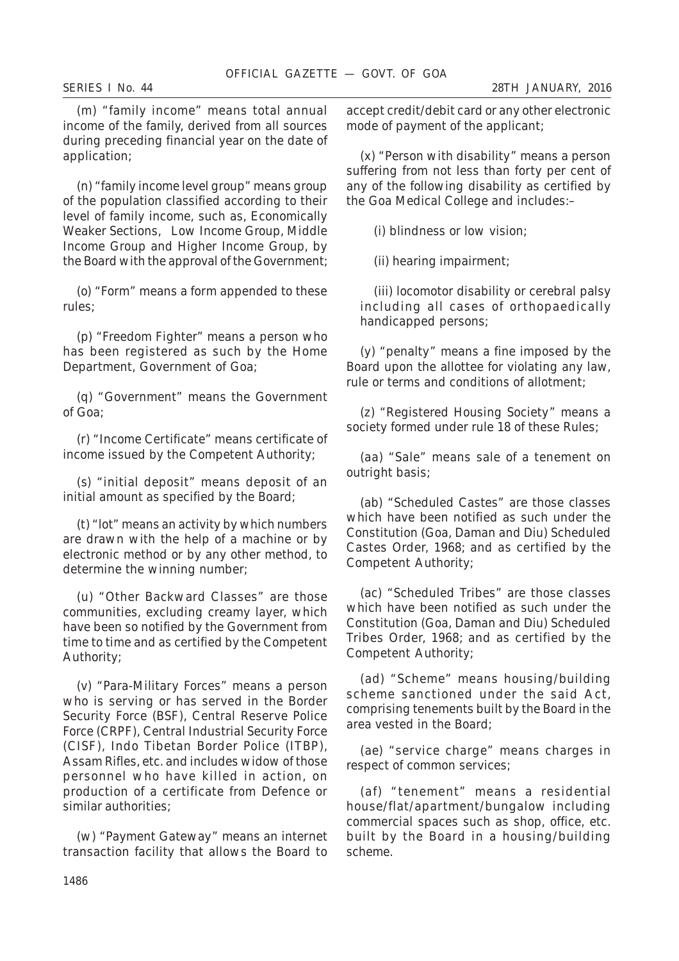(*m*) "family income" means total annual income of the family, derived from all sources during preceding financial year on the date of application;

(*n*) "family income level group" means group of the population classified according to their level of family income, such as, Economically Weaker Sections, Low Income Group, Middle Income Group and Higher Income Group, by the Board with the approval of the Government;

(*o*) "Form" means a form appended to these rules;

(*p*) "Freedom Fighter" means a person who has been registered as such by the Home Department, Government of Goa;

(*q*) "Government" means the Government of Goa;

(*r*) "Income Certificate" means certificate of income issued by the Competent Authority;

(*s*) "initial deposit" means deposit of an initial amount as specified by the Board;

(*t*) "lot" means an activity by which numbers are drawn with the help of a machine or by electronic method or by any other method, to determine the winning number;

(*u*) "Other Backward Classes" are those communities, excluding creamy layer, which have been so notified by the Government from time to time and as certified by the Competent Authority;

(*v*) "Para-Military Forces" means a person who is serving or has served in the Border Security Force (BSF), Central Reserve Police Force (CRPF), Central Industrial Security Force (CISF), Indo Tibetan Border Police (ITBP), Assam Rifles, etc. and includes widow of those personnel who have killed in action, on production of a certificate from Defence or similar authorities;

(*w*) "Payment Gateway" means an internet transaction facility that allows the Board to accept credit/debit card or any other electronic mode of payment of the applicant;

(*x*) "Person with disability" means a person suffering from not less than forty per cent of any of the following disability as certified by the Goa Medical College and includes:–

(*i*) blindness or low vision;

(*ii*) hearing impairment;

(*iii*) locomotor disability or cerebral palsy including all cases of orthopaedically handicapped persons;

(*y*) "penalty" means a fine imposed by the Board upon the allottee for violating any law, rule or terms and conditions of allotment;

(*z*) "Registered Housing Society" means a society formed under rule 18 of these Rules;

(*aa*) "Sale" means sale of a tenement on outright basis;

(*ab*) "Scheduled Castes" are those classes which have been notified as such under the Constitution (Goa, Daman and Diu) Scheduled Castes Order, 1968; and as certified by the Competent Authority;

(*ac*) "Scheduled Tribes" are those classes which have been notified as such under the Constitution (Goa, Daman and Diu) Scheduled Tribes Order, 1968; and as certified by the Competent Authority;

(*ad*) "Scheme" means housing/building scheme sanctioned under the said Act. comprising tenements built by the Board in the area vested in the Board;

(*ae*) "service charge" means charges in respect of common services;

(*af*) "tenement" means a residential house/flat/apartment/bungalow including commercial spaces such as shop, office, etc. built by the Board in a housing/building scheme.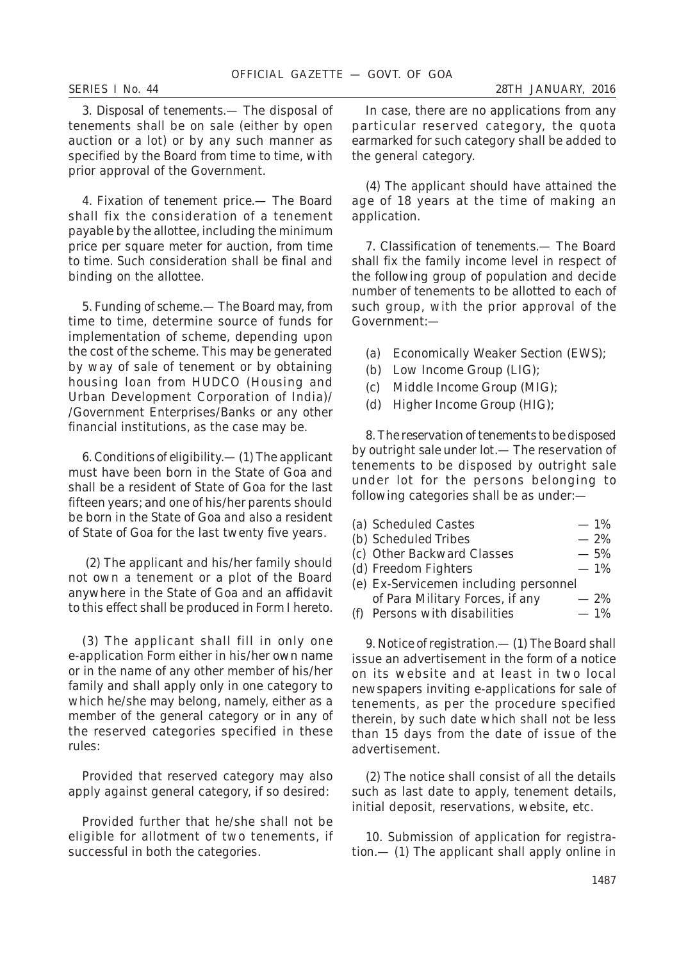3. *Disposal of tenements*.— The disposal of tenements shall be on sale (either by open auction or a lot) or by any such manner as specified by the Board from time to time, with prior approval of the Government.

4. *Fixation of tenement price*.— The Board shall fix the consideration of a tenement payable by the allottee, including the minimum price per square meter for auction, from time to time. Such consideration shall be final and binding on the allottee.

5. *Funding of scheme*.— The Board may, from time to time, determine source of funds for implementation of scheme, depending upon the cost of the scheme. This may be generated by way of sale of tenement or by obtaining housing loan from HUDCO (Housing and Urban Development Corporation of India)/ /Government Enterprises/Banks or any other financial institutions, as the case may be.

6. *Conditions of eligibility.*— (*1*) The applicant must have been born in the State of Goa and shall be a resident of State of Goa for the last fifteen years; and one of his/her parents should be born in the State of Goa and also a resident of State of Goa for the last twenty five years.

 (*2*) The applicant and his/her family should not own a tenement or a plot of the Board anywhere in the State of Goa and an affidavit to this effect shall be produced in Form I hereto.

(*3*) The applicant shall fill in only one e-application Form either in his/her own name or in the name of any other member of his/her family and shall apply only in one category to which he/she may belong, namely, either as a member of the general category or in any of the reserved categories specified in these rules:

Provided that reserved category may also apply against general category, if so desired:

Provided further that he/she shall not be eligible for allotment of two tenements, if successful in both the categories.

In case, there are no applications from any particular reserved category, the quota earmarked for such category shall be added to the general category.

(*4*) The applicant should have attained the age of 18 years at the time of making an application.

7. *Classification of tenements*.— The Board shall fix the family income level in respect of the following group of population and decide number of tenements to be allotted to each of such group, with the prior approval of the Government:—

- (*a*) Economically Weaker Section (EWS);
- (*b*) Low Income Group (LIG);
- (*c*) Middle Income Group (MIG);
- (*d*) Higher Income Group (HIG);

8. *The reservation of tenements to be disposed by outright sale under lot*.— The reservation of tenements to be disposed by outright sale under lot for the persons belonging to following categories shall be as under:—

| (a) Scheduled Castes                  | $-1\%$ |
|---------------------------------------|--------|
| (b) Scheduled Tribes                  | $-2\%$ |
| (c) Other Backward Classes            | $-5%$  |
| (d) Freedom Fighters                  | $-1%$  |
| (e) Ex-Servicemen including personnel |        |
| of Para Military Forces, if any       | $-2%$  |
| (f) Persons with disabilities         | $-1\%$ |
|                                       |        |

9. *Notice of registration*.— (*1*) The Board shall issue an advertisement in the form of a notice on its website and at least in two local newspapers inviting e-applications for sale of tenements, as per the procedure specified therein, by such date which shall not be less than 15 days from the date of issue of the advertisement.

(*2*) The notice shall consist of all the details such as last date to apply, tenement details, initial deposit, reservations, website, etc.

10. *Submission of application for registration*.— (*1*) The applicant shall apply online in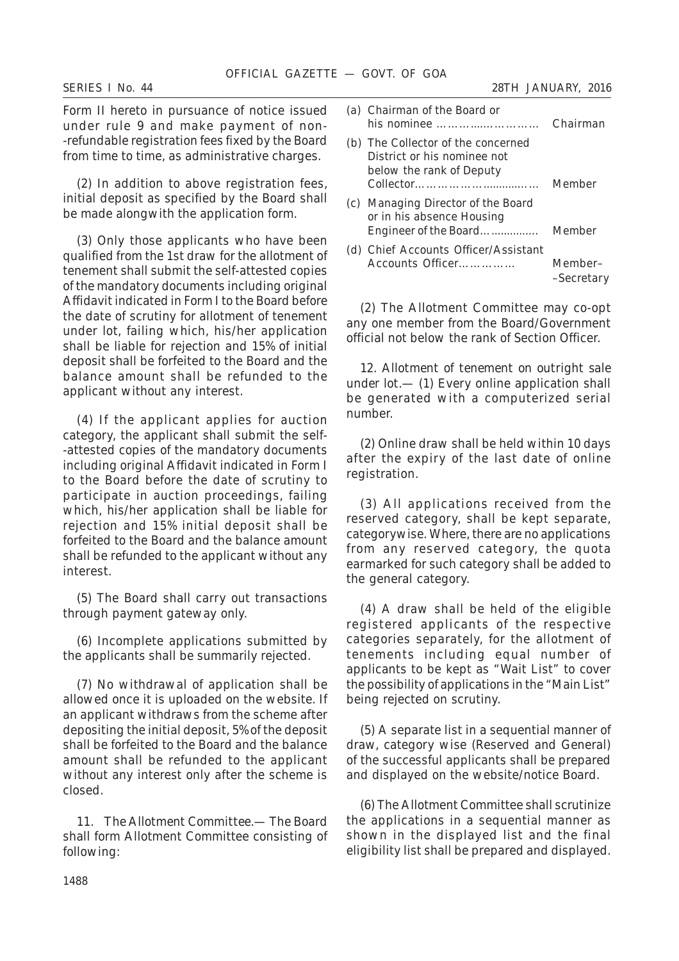Form II hereto in pursuance of notice issued under rule 9 and make payment of non- -refundable registration fees fixed by the Board from time to time, as administrative charges.

(*2*) In addition to above registration fees, initial deposit as specified by the Board shall be made alongwith the application form.

(*3*) Only those applicants who have been qualified from the 1st draw for the allotment of tenement shall submit the self-attested copies of the mandatory documents including original Affidavit indicated in Form I to the Board before the date of scrutiny for allotment of tenement under lot, failing which, his/her application shall be liable for rejection and 15% of initial deposit shall be forfeited to the Board and the balance amount shall be refunded to the applicant without any interest.

(*4*) If the applicant applies for auction category, the applicant shall submit the self- -attested copies of the mandatory documents including original Affidavit indicated in Form I to the Board before the date of scrutiny to participate in auction proceedings, failing which, his/her application shall be liable for rejection and 15% initial deposit shall be forfeited to the Board and the balance amount shall be refunded to the applicant without any interest.

(*5*) The Board shall carry out transactions through payment gateway only.

(*6*) Incomplete applications submitted by the applicants shall be summarily rejected.

(*7*) No withdrawal of application shall be allowed once it is uploaded on the website. If an applicant withdraws from the scheme after depositing the initial deposit, 5% of the deposit shall be forfeited to the Board and the balance amount shall be refunded to the applicant without any interest only after the scheme is closed.

11. *The Allotment Committee*.— The Board shall form Allotment Committee consisting of following:

| (a) Chairman of the Board or<br>his nominee                                                   | Chairman              |
|-----------------------------------------------------------------------------------------------|-----------------------|
| (b) The Collector of the concerned<br>District or his nominee not<br>below the rank of Deputy | Member                |
| (c) Managing Director of the Board<br>or in his absence Housing<br>Engineer of the Board      | Member                |
| (d) Chief Accounts Officer/Assistant<br>Accounts Officer                                      | Member-<br>-Secretary |

(*2*) The Allotment Committee may co-opt any one member from the Board/Government official not below the rank of Section Officer.

12. *Allotment of tenement on outright sale under lot*.— (*1*) Every online application shall be generated with a computerized serial number.

(*2*) Online draw shall be held within 10 days after the expiry of the last date of online registration.

(*3*) All applications received from the reserved category, shall be kept separate, categorywise. Where, there are no applications from any reserved category, the quota earmarked for such category shall be added to the general category.

(*4*) A draw shall be held of the eligible registered applicants of the respective categories separately, for the allotment of tenements including equal number of applicants to be kept as "Wait List" to cover the possibility of applications in the "Main List" being rejected on scrutiny.

(*5*) A separate list in a sequential manner of draw, category wise (Reserved and General) of the successful applicants shall be prepared and displayed on the website/notice Board.

(*6*) The Allotment Committee shall scrutinize the applications in a sequential manner as shown in the displayed list and the final eligibility list shall be prepared and displayed.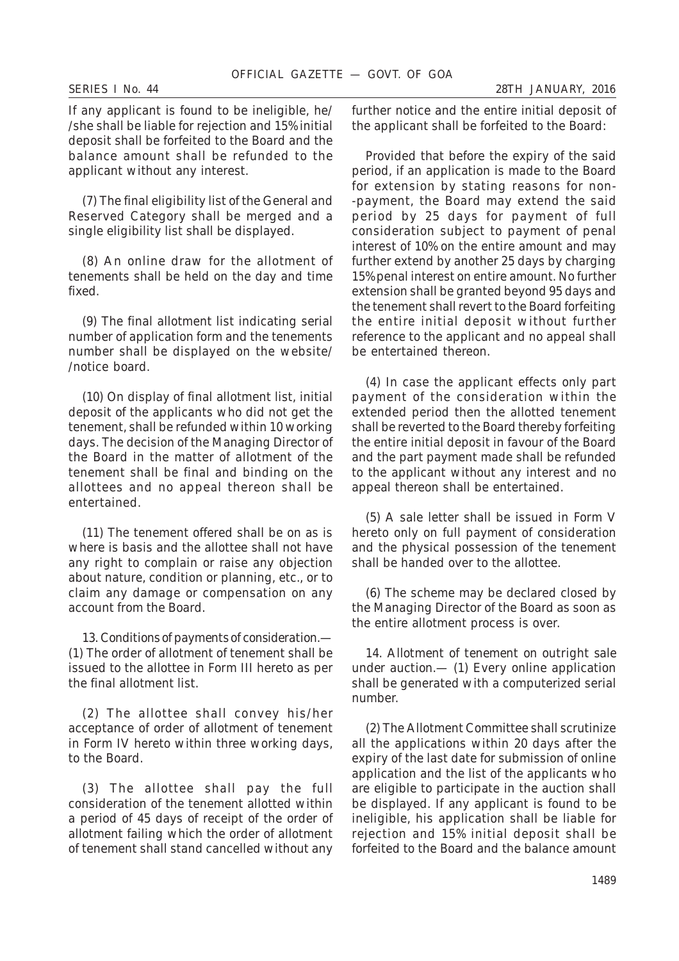If any applicant is found to be ineligible, he/ /she shall be liable for rejection and 15% initial deposit shall be forfeited to the Board and the balance amount shall be refunded to the applicant without any interest.

(*7*) The final eligibility list of the General and Reserved Category shall be merged and a single eligibility list shall be displayed.

(*8*) An online draw for the allotment of tenements shall be held on the day and time fixed.

(*9*) The final allotment list indicating serial number of application form and the tenements number shall be displayed on the website/ /notice board.

(*10*) On display of final allotment list, initial deposit of the applicants who did not get the tenement, shall be refunded within 10 working days. The decision of the Managing Director of the Board in the matter of allotment of the tenement shall be final and binding on the allottees and no appeal thereon shall be entertained.

(*11*) The tenement offered shall be on as is where is basis and the allottee shall not have any right to complain or raise any objection about nature, condition or planning, etc., or to claim any damage or compensation on any account from the Board.

13. *Conditions of payments of consideration*.— (*1*) The order of allotment of tenement shall be issued to the allottee in Form III hereto as per the final allotment list.

(*2*) The allottee shall convey his/her acceptance of order of allotment of tenement in Form IV hereto within three working days, to the Board.

(*3*) The allottee shall pay the full consideration of the tenement allotted within a period of 45 days of receipt of the order of allotment failing which the order of allotment of tenement shall stand cancelled without any further notice and the entire initial deposit of the applicant shall be forfeited to the Board:

Provided that before the expiry of the said period, if an application is made to the Board for extension by stating reasons for non- -payment, the Board may extend the said period by 25 days for payment of full consideration subject to payment of penal interest of 10% on the entire amount and may further extend by another 25 days by charging 15% penal interest on entire amount. No further extension shall be granted beyond 95 days and the tenement shall revert to the Board forfeiting the entire initial deposit without further reference to the applicant and no appeal shall be entertained thereon.

(*4*) In case the applicant effects only part payment of the consideration within the extended period then the allotted tenement shall be reverted to the Board thereby forfeiting the entire initial deposit in favour of the Board and the part payment made shall be refunded to the applicant without any interest and no appeal thereon shall be entertained.

(*5*) A sale letter shall be issued in Form V hereto only on full payment of consideration and the physical possession of the tenement shall be handed over to the allottee.

(*6*) The scheme may be declared closed by the Managing Director of the Board as soon as the entire allotment process is over.

14. *Allotment of tenement on outright sale under auction*.— (*1*) Every online application shall be generated with a computerized serial number.

(*2*) The Allotment Committee shall scrutinize all the applications within 20 days after the expiry of the last date for submission of online application and the list of the applicants who are eligible to participate in the auction shall be displayed. If any applicant is found to be ineligible, his application shall be liable for rejection and 15% initial deposit shall be forfeited to the Board and the balance amount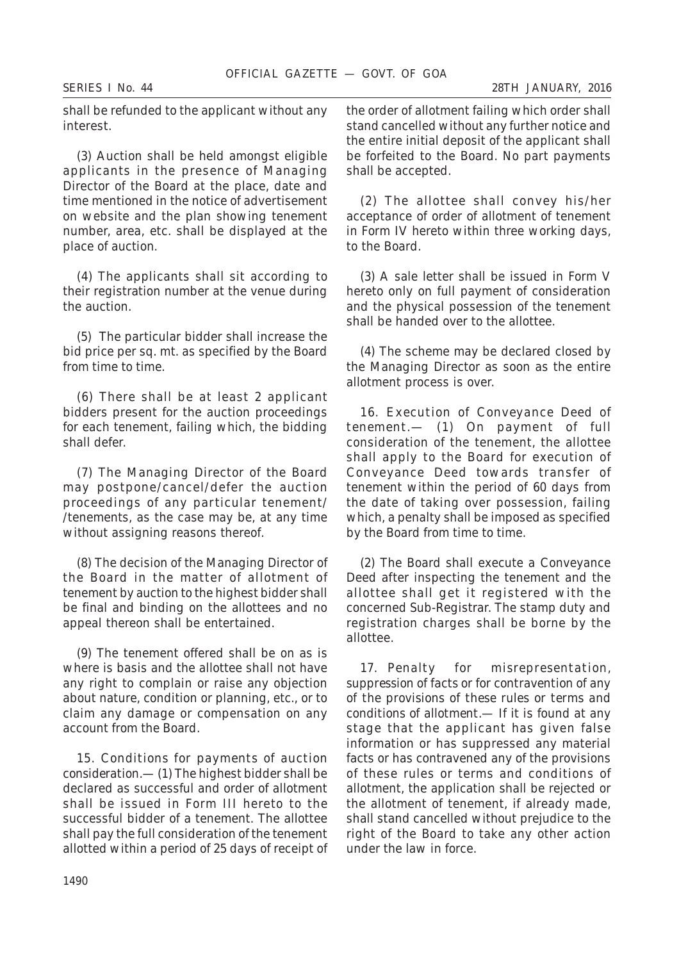shall be refunded to the applicant without any interest.

(*3*) Auction shall be held amongst eligible applicants in the presence of Managing Director of the Board at the place, date and time mentioned in the notice of advertisement on website and the plan showing tenement number, area, etc. shall be displayed at the place of auction.

(*4*) The applicants shall sit according to their registration number at the venue during the auction.

(*5*) The particular bidder shall increase the bid price per sq. mt. as specified by the Board from time to time.

(*6*) There shall be at least 2 applicant bidders present for the auction proceedings for each tenement, failing which, the bidding shall defer.

(*7*) The Managing Director of the Board may postpone/cancel/defer the auction proceedings of any particular tenement/ /tenements, as the case may be, at any time without assigning reasons thereof.

(*8*) The decision of the Managing Director of the Board in the matter of allotment of tenement by auction to the highest bidder shall be final and binding on the allottees and no appeal thereon shall be entertained.

(*9*) The tenement offered shall be on as is where is basis and the allottee shall not have any right to complain or raise any objection about nature, condition or planning, etc., or to claim any damage or compensation on any account from the Board.

15. *Conditions for payments of auction consideration*.— (*1*) The highest bidder shall be declared as successful and order of allotment shall be issued in Form III hereto to the successful bidder of a tenement. The allottee shall pay the full consideration of the tenement allotted within a period of 25 days of receipt of the order of allotment failing which order shall stand cancelled without any further notice and the entire initial deposit of the applicant shall be forfeited to the Board. No part payments shall be accepted.

(*2*) The allottee shall convey his/her acceptance of order of allotment of tenement in Form IV hereto within three working days, to the Board.

(*3*) A sale letter shall be issued in Form V hereto only on full payment of consideration and the physical possession of the tenement shall be handed over to the allottee.

(*4*) The scheme may be declared closed by the Managing Director as soon as the entire allotment process is over.

16. *Execution of Conveyance Deed of tenement*.— (*1*) On payment of full consideration of the tenement, the allottee shall apply to the Board for execution of Conveyance Deed towards transfer of tenement within the period of 60 days from the date of taking over possession, failing which, a penalty shall be imposed as specified by the Board from time to time.

(*2*) The Board shall execute a Conveyance Deed after inspecting the tenement and the allottee shall get it registered with the concerned Sub-Registrar. The stamp duty and registration charges shall be borne by the allottee.

17. *Penalty for misrepresentation, suppression of facts or for contravention of any of the provisions of these rules or terms and conditions of allotment*.— If it is found at any stage that the applicant has given false information or has suppressed any material facts or has contravened any of the provisions of these rules or terms and conditions of allotment, the application shall be rejected or the allotment of tenement, if already made, shall stand cancelled without prejudice to the right of the Board to take any other action under the law in force.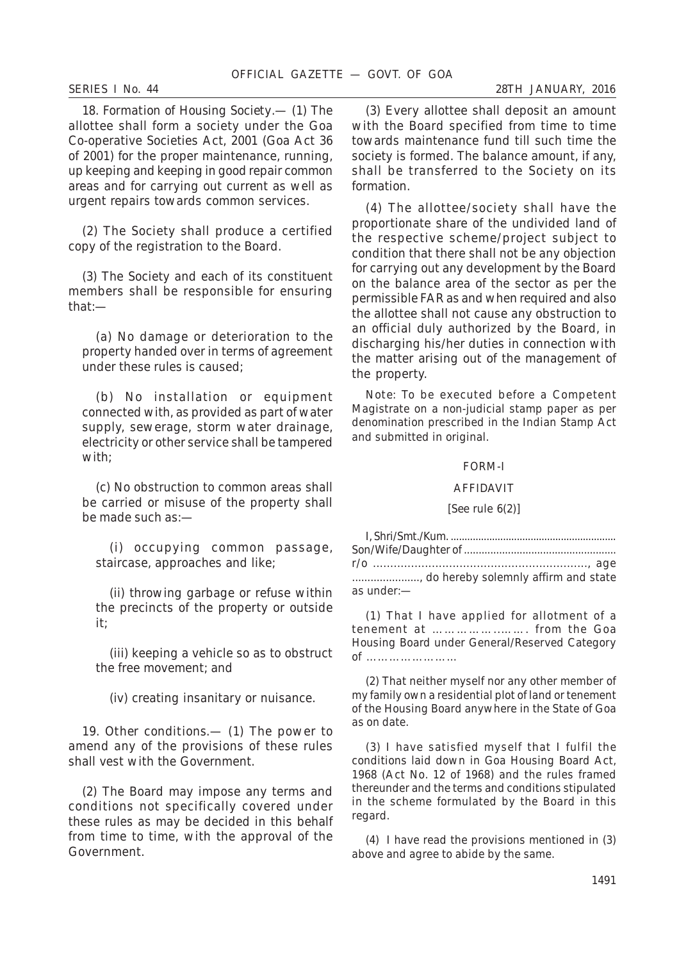18. *Formation of Housing Society*.— (*1*) The allottee shall form a society under the Goa Co-operative Societies Act, 2001 (Goa Act 36 of 2001) for the proper maintenance, running, up keeping and keeping in good repair common areas and for carrying out current as well as urgent repairs towards common services.

(*2*) The Society shall produce a certified copy of the registration to the Board.

(*3*) The Society and each of its constituent members shall be responsible for ensuring that:—

(*a*) No damage or deterioration to the property handed over in terms of agreement under these rules is caused;

(*b*) No installation or equipment connected with, as provided as part of water supply, sewerage, storm water drainage, electricity or other service shall be tampered with;

(*c*) No obstruction to common areas shall be carried or misuse of the property shall be made such as:—

(*i*) occupying common passage, staircase, approaches and like;

(*ii*) throwing garbage or refuse within the precincts of the property or outside it;

(*iii*) keeping a vehicle so as to obstruct the free movement; and

(*iv*) creating insanitary or nuisance.

19. *Other conditions*.— (*1*) The power to amend any of the provisions of these rules shall vest with the Government.

(*2*) The Board may impose any terms and conditions not specifically covered under these rules as may be decided in this behalf from time to time, with the approval of the Government.

(*3*) Every allottee shall deposit an amount with the Board specified from time to time towards maintenance fund till such time the society is formed. The balance amount, if any, shall be transferred to the Society on its formation.

(*4*) The allottee/society shall have the proportionate share of the undivided land of the respective scheme/project subject to condition that there shall not be any objection for carrying out any development by the Board on the balance area of the sector as per the permissible FAR as and when required and also the allottee shall not cause any obstruction to an official duly authorized by the Board, in discharging his/her duties in connection with the matter arising out of the management of the property.

*Note*: To be executed before a Competent Magistrate on a non-judicial stamp paper as per denomination prescribed in the Indian Stamp Act and submitted in original.

### FORM-I

#### AFFIDAVIT

### [*See* rule 6(*2*)]

| , do hereby solemnly affirm and state |
|---------------------------------------|
| as under:-                            |

(*1*) That I have applied for allotment of a tenement at ……………..……. from the Goa Housing Board under General/Reserved Category of ……………………

(*2*) That neither myself nor any other member of my family own a residential plot of land or tenement of the Housing Board anywhere in the State of Goa as on date.

(*3*) I have satisfied myself that I fulfil the conditions laid down in Goa Housing Board Act, 1968 (Act No. 12 of 1968) and the rules framed thereunder and the terms and conditions stipulated in the scheme formulated by the Board in this regard.

(*4*) I have read the provisions mentioned in (*3*) above and agree to abide by the same.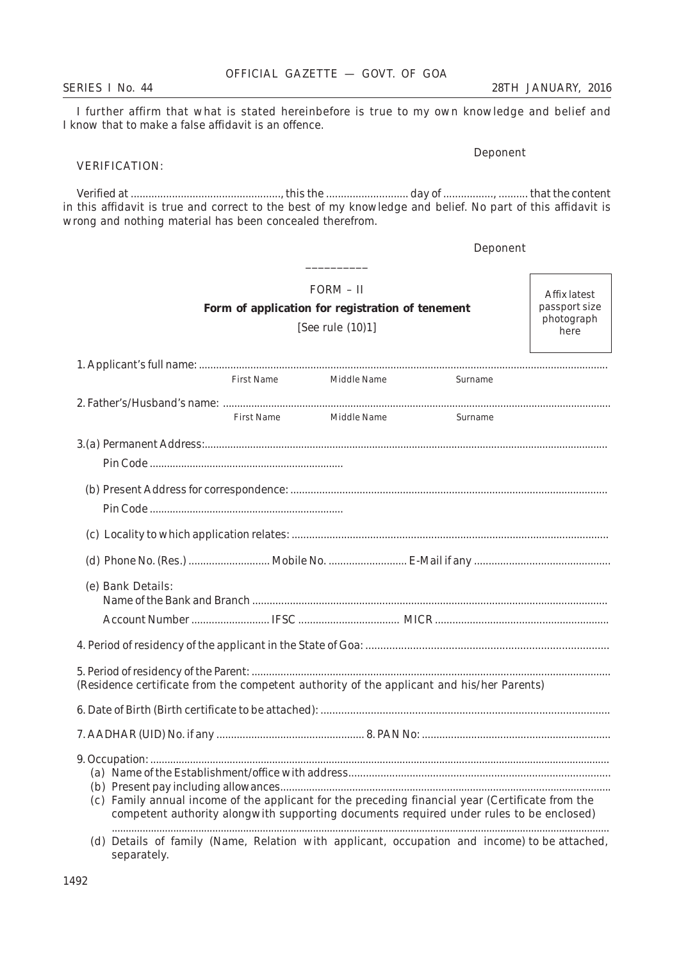separately.

# OFFICIAL GAZETTE — GOVT. OF GOA

*SERIES I No. 44 28TH JANUARY, 2016*

I further affirm that what is stated hereinbefore is true to my own knowledge and belief and I know that to make a false affidavit is an offence.

# VERIFICATION:

Verified at ..................................................., this the ............................ day of ................., .......... that the content in this affidavit is true and correct to the best of my knowledge and belief. No part of this affidavit is wrong and nothing material has been concealed therefrom.

| Form of application for registration of tenement                                                 | Affix latest<br>passport size<br>photograph<br>here |                                                                                         |         |  |
|--------------------------------------------------------------------------------------------------|-----------------------------------------------------|-----------------------------------------------------------------------------------------|---------|--|
|                                                                                                  |                                                     |                                                                                         |         |  |
|                                                                                                  | First Name                                          |                                                                                         |         |  |
|                                                                                                  |                                                     | Middle Name                                                                             | Surname |  |
|                                                                                                  | First Name                                          | Middle Name                                                                             | Surname |  |
|                                                                                                  |                                                     |                                                                                         |         |  |
|                                                                                                  |                                                     |                                                                                         |         |  |
|                                                                                                  |                                                     |                                                                                         |         |  |
|                                                                                                  |                                                     |                                                                                         |         |  |
|                                                                                                  |                                                     |                                                                                         |         |  |
|                                                                                                  |                                                     |                                                                                         |         |  |
|                                                                                                  |                                                     |                                                                                         |         |  |
| (e) Bank Details:                                                                                |                                                     |                                                                                         |         |  |
|                                                                                                  |                                                     |                                                                                         |         |  |
|                                                                                                  |                                                     |                                                                                         |         |  |
|                                                                                                  |                                                     |                                                                                         |         |  |
| (Residence certificate from the competent authority of the applicant and his/her Parents)        |                                                     |                                                                                         |         |  |
|                                                                                                  |                                                     |                                                                                         |         |  |
|                                                                                                  |                                                     |                                                                                         |         |  |
|                                                                                                  |                                                     |                                                                                         |         |  |
|                                                                                                  |                                                     |                                                                                         |         |  |
| (c) Family annual income of the applicant for the preceding financial year (Certificate from the |                                                     | competent authority alongwith supporting documents required under rules to be enclosed) |         |  |
| (d) Details of family (Name, Relation with applicant, occupation and income) to be attached,     |                                                     |                                                                                         |         |  |

Deponent

Deponent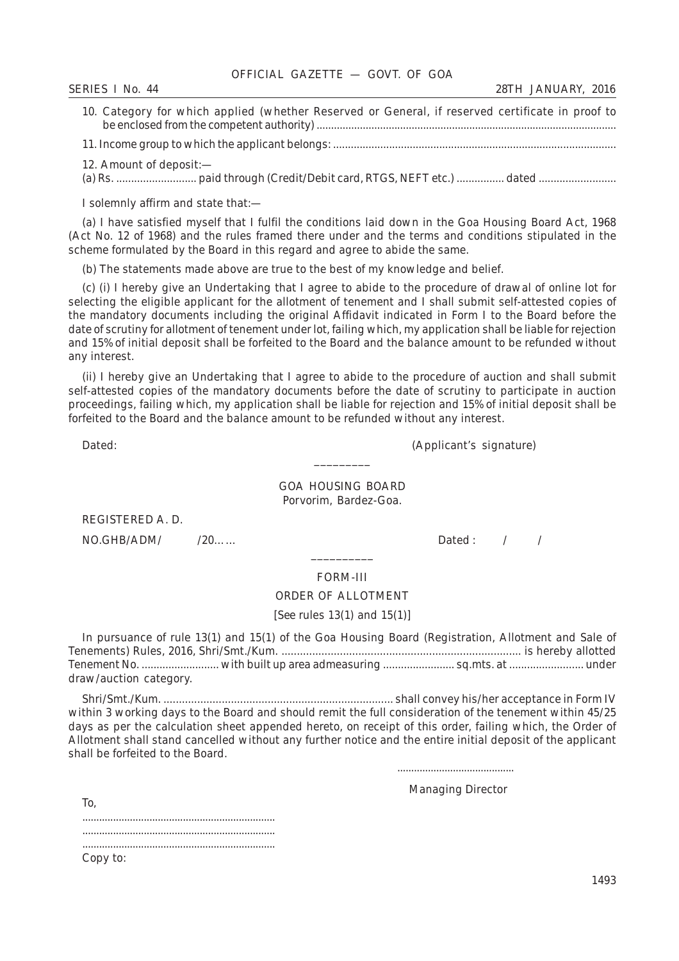| OFFICIAL GAZETTE - GOVT. OF GOA |  |
|---------------------------------|--|
|---------------------------------|--|

| $N_{0.}$      |                |
|---------------|----------------|
| <b>SERIES</b> |                |
| 44            | <b>JANUARY</b> |
|               | 2016           |
| ___           | A DV           |
|               |                |

| 10. Category for which applied (whether Reserved or General, if reserved certificate in proof to |  |
|--------------------------------------------------------------------------------------------------|--|
|                                                                                                  |  |
|                                                                                                  |  |

12. Amount of deposit:—

(a) Rs. ........................... paid through (Credit/Debit card, RTGS, NEFT etc.) ................ dated ..........................

I solemnly affirm and state that:—

(*a*) I have satisfied myself that I fulfil the conditions laid down in the Goa Housing Board Act, 1968 (Act No. 12 of 1968) and the rules framed there under and the terms and conditions stipulated in the scheme formulated by the Board in this regard and agree to abide the same.

(*b*) The statements made above are true to the best of my knowledge and belief.

(*c*) (*i*) I hereby give an Undertaking that I agree to abide to the procedure of drawal of online lot for selecting the eligible applicant for the allotment of tenement and I shall submit self-attested copies of the mandatory documents including the original Affidavit indicated in Form I to the Board before the date of scrutiny for allotment of tenement under lot, failing which, my application shall be liable for rejection and 15% of initial deposit shall be forfeited to the Board and the balance amount to be refunded without any interest.

(*ii*) I hereby give an Undertaking that I agree to abide to the procedure of auction and shall submit self-attested copies of the mandatory documents before the date of scrutiny to participate in auction proceedings, failing which, my application shall be liable for rejection and 15% of initial deposit shall be forfeited to the Board and the balance amount to be refunded without any interest.

Dated: (Applicant's signature)

# GOA HOUSING BOARD Porvorim, Bardez-Goa.

\_\_\_\_\_\_\_\_\_

REGISTERED A. D.

NO.GHB/ADM/ /20…… Dated : / /

# \_\_\_\_\_\_\_\_\_\_ FORM-III

### ORDER OF ALLOTMENT

#### [*See* rules 13(*1*) and 15(*1*)]

In pursuance of rule 13(*1*) and 15(*1*) of the Goa Housing Board (Registration, Allotment and Sale of Tenements) Rules, 2016, Shri/Smt./Kum. .............................................................................. is hereby allotted Tenement No. .......................... with built up area admeasuring ........................ sq.mts. at ......................... under draw/auction category.

Shri/Smt./Kum. ........................................................................... shall convey his/her acceptance in Form IV within 3 working days to the Board and should remit the full consideration of the tenement within 45/25 days as per the calculation sheet appended hereto, on receipt of this order, failing which, the Order of Allotment shall stand cancelled without any further notice and the entire initial deposit of the applicant shall be forfeited to the Board.

..........................................

Managing Director

| Ίò.      |  |
|----------|--|
|          |  |
|          |  |
| Copy to: |  |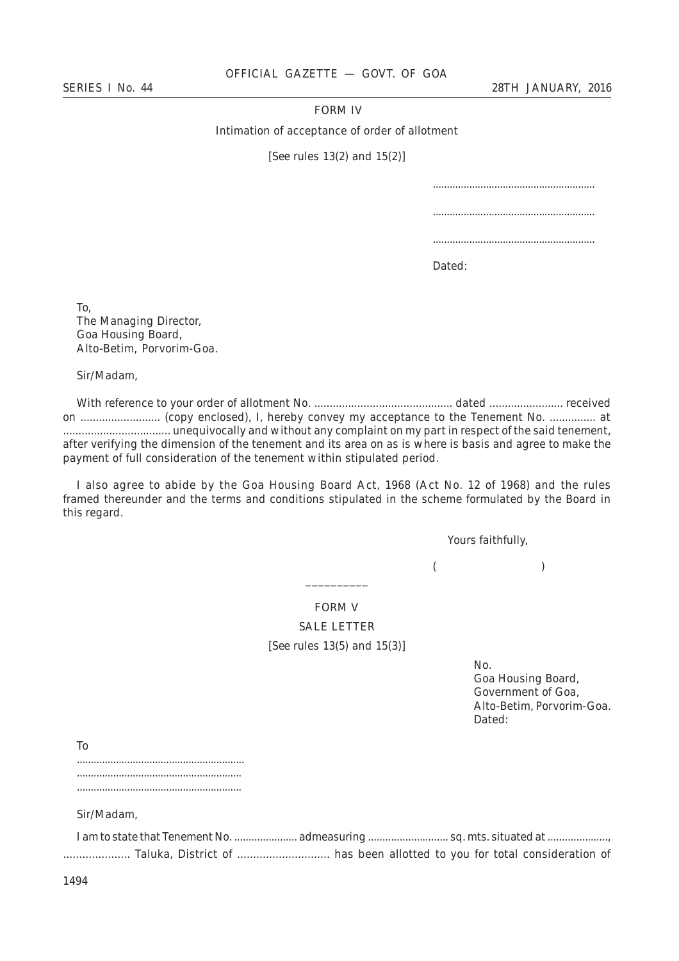# FORM IV

Intimation of acceptance of order of allotment

[*See* rules 13(*2*) and 15(*2*)]

Dated:

To, The Managing Director, Goa Housing Board, Alto-Betim, Porvorim-Goa.

Sir/Madam,

With reference to your order of allotment No. ............................................. dated ........................ received on .......................... (copy enclosed), I, hereby convey my acceptance to the Tenement No. ............... at ................................... unequivocally and without any complaint on my part in respect of the said tenement, after verifying the dimension of the tenement and its area on as is where is basis and agree to make the payment of full consideration of the tenement within stipulated period.

I also agree to abide by the Goa Housing Board Act, 1968 (Act No. 12 of 1968) and the rules framed thereunder and the terms and conditions stipulated in the scheme formulated by the Board in this regard.

Yours faithfully,

 $($  )

FORM V SALE LETTER [*See* rules 13(*5*) and 15(*3*)]

\_\_\_\_\_\_\_\_\_\_

No. Goa Housing Board, Government of Goa, Alto-Betim, Porvorim-Goa. Dated:

To

............................................................ ........................................................... ...........................................................

Sir/Madam,

|  | Taluka, District of  has been allotted to you for total consideration of |  |  |  |
|--|--------------------------------------------------------------------------|--|--|--|